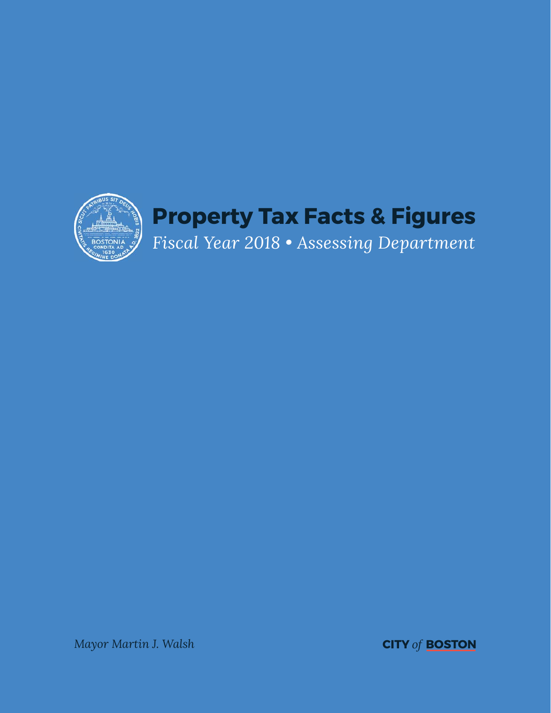

*Mayor Martin J. Walsh* **CITY** *of* **BOSTON**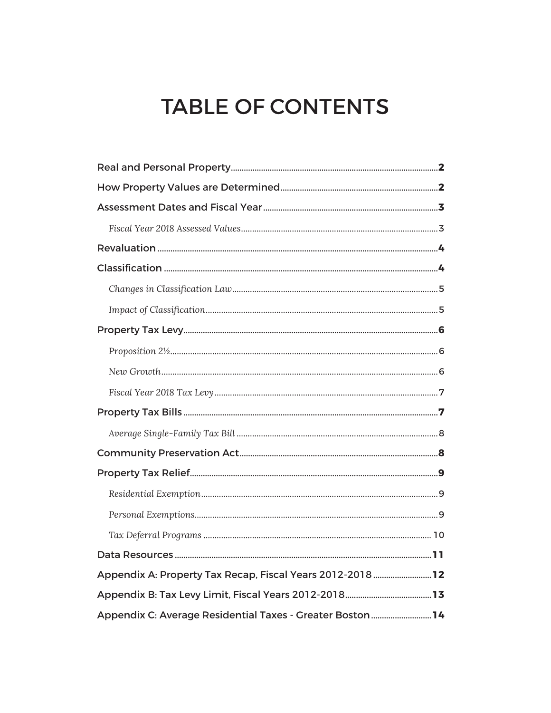# **TABLE OF CONTENTS**

| Appendix A: Property Tax Recap, Fiscal Years 2012-2018  12 |  |
|------------------------------------------------------------|--|
|                                                            |  |
| Appendix C: Average Residential Taxes - Greater Boston14   |  |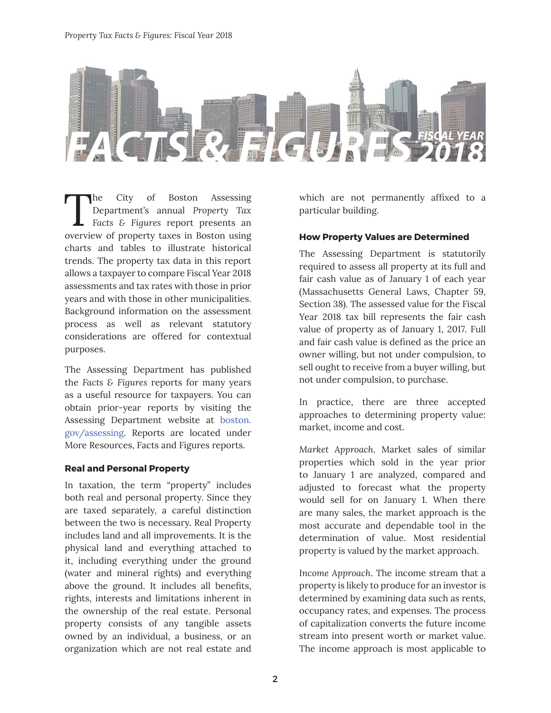

The City of Boston Assessing<br>Department's annual Property Tax<br>Facts & Figures report presents an<br>averyiew of property taxes in Boston using Department's annual *Property Tax Facts & Figures* report presents an overview of property taxes in Boston using charts and tables to illustrate historical trends. The property tax data in this report allows a taxpayer to compare Fiscal Year 2018 assessments and tax rates with those in prior years and with those in other municipalities. Background information on the assessment process as well as relevant statutory considerations are offered for contextual purposes.

The Assessing Department has published the *Facts & Figures* reports for many years as a useful resource for taxpayers. You can obtain prior-year reports by visiting the Assessing Department website at boston. gov/assessing. Reports are located under More Resources, Facts and Figures reports.

## **Real and Personal Property**

In taxation, the term "property" includes both real and personal property. Since they are taxed separately, a careful distinction between the two is necessary. Real Property includes land and all improvements. It is the physical land and everything attached to it, including everything under the ground (water and mineral rights) and everything above the ground. It includes all benefits, rights, interests and limitations inherent in the ownership of the real estate. Personal property consists of any tangible assets owned by an individual, a business, or an organization which are not real estate and which are not permanently affixed to a particular building.

## **How Property Values are Determined**

The Assessing Department is statutorily required to assess all property at its full and fair cash value as of January 1 of each year (Massachusetts General Laws, Chapter 59, Section 38). The assessed value for the Fiscal Year 2018 tax bill represents the fair cash value of property as of January 1, 2017. Full and fair cash value is defined as the price an owner willing, but not under compulsion, to sell ought to receive from a buyer willing, but not under compulsion, to purchase.

In practice, there are three accepted approaches to determining property value: market, income and cost.

*Market Approach*. Market sales of similar properties which sold in the year prior to January 1 are analyzed, compared and adjusted to forecast what the property would sell for on January 1. When there are many sales, the market approach is the most accurate and dependable tool in the determination of value. Most residential property is valued by the market approach.

*Income Approach*. The income stream that a property is likely to produce for an investor is determined by examining data such as rents, occupancy rates, and expenses. The process of capitalization converts the future income stream into present worth or market value. The income approach is most applicable to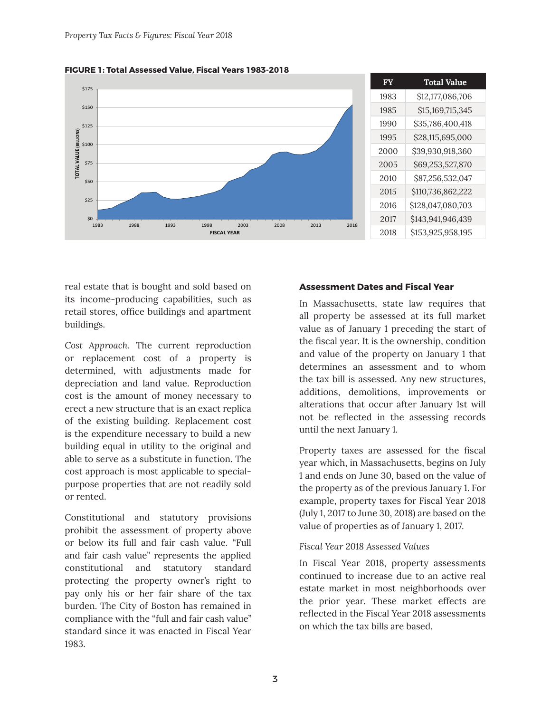

**FIGURE 1: Total Assessed Value, Fiscal Years 1983-2018**

real estate that is bought and sold based on its income-producing capabilities, such as retail stores, office buildings and apartment buildings.

*Cost Approach*. The current reproduction or replacement cost of a property is determined, with adjustments made for depreciation and land value. Reproduction cost is the amount of money necessary to erect a new structure that is an exact replica of the existing building. Replacement cost is the expenditure necessary to build a new building equal in utility to the original and able to serve as a substitute in function. The cost approach is most applicable to specialpurpose properties that are not readily sold or rented.

Constitutional and statutory provisions prohibit the assessment of property above or below its full and fair cash value. "Full and fair cash value" represents the applied constitutional and statutory standard protecting the property owner's right to pay only his or her fair share of the tax burden. The City of Boston has remained in compliance with the "full and fair cash value" standard since it was enacted in Fiscal Year 1983.

#### **Assessment Dates and Fiscal Year**

In Massachusetts, state law requires that all property be assessed at its full market value as of January 1 preceding the start of the fiscal year. It is the ownership, condition and value of the property on January 1 that determines an assessment and to whom the tax bill is assessed. Any new structures, additions, demolitions, improvements or alterations that occur after January 1st will not be reflected in the assessing records until the next January 1.

Property taxes are assessed for the fiscal year which, in Massachusetts, begins on July 1 and ends on June 30, based on the value of the property as of the previous January 1. For example, property taxes for Fiscal Year 2018 (July 1, 2017 to June 30, 2018) are based on the value of properties as of January 1, 2017.

#### *Fiscal Year 2018 Assessed Values*

In Fiscal Year 2018, property assessments continued to increase due to an active real estate market in most neighborhoods over the prior year. These market effects are reflected in the Fiscal Year 2018 assessments on which the tax bills are based.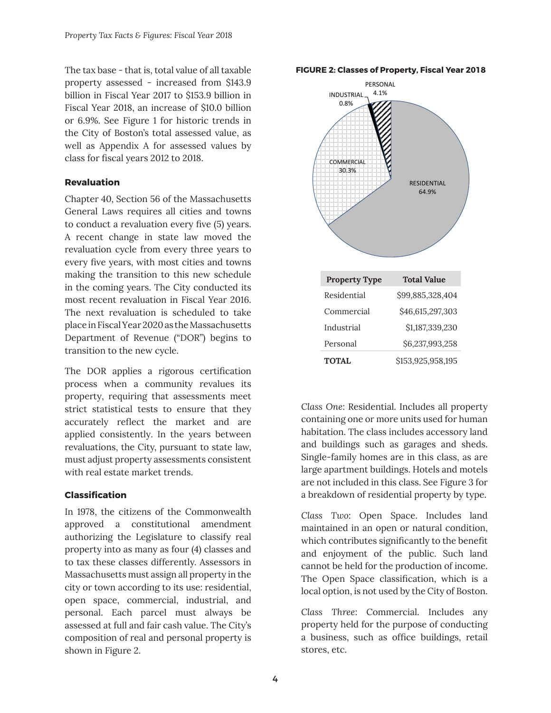The tax base - that is, total value of all taxable property assessed - increased from \$143.9 billion in Fiscal Year 2017 to \$153.9 billion in Fiscal Year 2018, an increase of \$10.0 billion or 6.9%. See Figure 1 for historic trends in the City of Boston's total assessed value, as well as Appendix A for assessed values by class for fiscal years 2012 to 2018.

## **Revaluation**

Chapter 40, Section 56 of the Massachusetts General Laws requires all cities and towns to conduct a revaluation every five (5) years. A recent change in state law moved the revaluation cycle from every three years to every five years, with most cities and towns making the transition to this new schedule in the coming years. The City conducted its most recent revaluation in Fiscal Year 2016. The next revaluation is scheduled to take place in Fiscal Year 2020 as the Massachusetts Department of Revenue ("DOR") begins to transition to the new cycle.

The DOR applies a rigorous certification process when a community revalues its property, requiring that assessments meet strict statistical tests to ensure that they accurately reflect the market and are applied consistently. In the years between revaluations, the City, pursuant to state law, must adjust property assessments consistent with real estate market trends.

## **Classifi cation**

In 1978, the citizens of the Commonwealth approved a constitutional amendment authorizing the Legislature to classify real property into as many as four (4) classes and to tax these classes differently. Assessors in Massachusetts must assign all property in the city or town according to its use: residential, open space, commercial, industrial, and personal. Each parcel must always be assessed at full and fair cash value. The City's composition of real and personal property is shown in Figure 2.

#### **FIGURE 2: Classes of Property, Fiscal Year 2018**



*Class One*: Residential. Includes all property containing one or more units used for human habitation. The class includes accessory land and buildings such as garages and sheds. Single-family homes are in this class, as are large apartment buildings. Hotels and motels are not included in this class. See Figure 3 for a breakdown of residential property by type.

*Class Two*: Open Space. Includes land maintained in an open or natural condition, which contributes significantly to the benefit and enjoyment of the public. Such land cannot be held for the production of income. The Open Space classification, which is a local option, is not used by the City of Boston.

*Class Three*: Commercial. Includes any property held for the purpose of conducting a business, such as office buildings, retail stores, etc.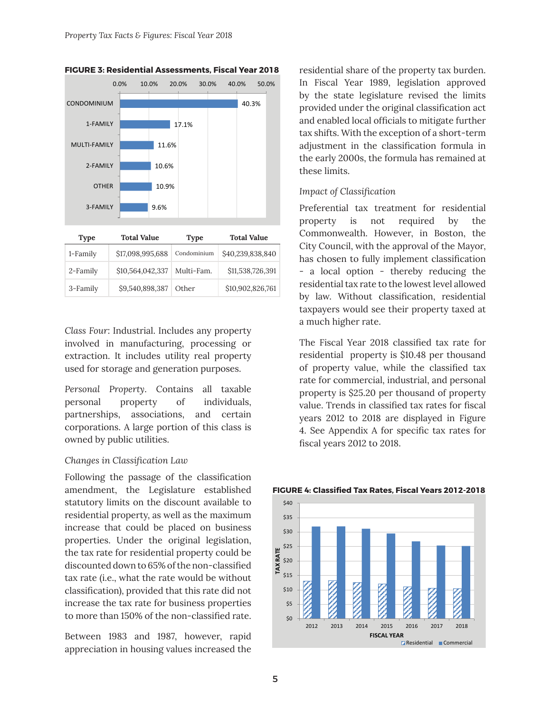



| <b>Type</b> | <b>Total Value</b> |             | <b>Total Value</b> |  |  |
|-------------|--------------------|-------------|--------------------|--|--|
| 1-Family    | \$17,098,995,688   | Condominium | \$40,239,838,840   |  |  |
| 2-Family    | \$10,564,042,337   | Multi-Fam.  | \$11,538,726,391   |  |  |
| 3-Family    | \$9,540,898,387    | Other       | \$10,902,826,761   |  |  |

*Class Four*: Industrial. Includes any property involved in manufacturing, processing or extraction. It includes utility real property used for storage and generation purposes.

*Personal Property*. Contains all taxable personal property of individuals, partnerships, associations, and certain corporations. A large portion of this class is owned by public utilities.

#### *Changes in Classifi cation Law*

Following the passage of the classification amendment, the Legislature established statutory limits on the discount available to residential property, as well as the maximum increase that could be placed on business properties. Under the original legislation, the tax rate for residential property could be discounted down to 65% of the non-classified tax rate (i.e., what the rate would be without classification), provided that this rate did not increase the tax rate for business properties to more than 150% of the non-classified rate.

Between 1983 and 1987, however, rapid appreciation in housing values increased the

residential share of the property tax burden. In Fiscal Year 1989, legislation approved by the state legislature revised the limits provided under the original classification act and enabled local officials to mitigate further tax shifts. With the exception of a short-term adjustment in the classification formula in the early 2000s, the formula has remained at these limits.

#### *Impact of Classification*

Preferential tax treatment for residential property is not required by the Commonwealth. However, in Boston, the City Council, with the approval of the Mayor, has chosen to fully implement classification - a local option - thereby reducing the residential tax rate to the lowest level allowed by law. Without classification, residential taxpayers would see their property taxed at a much higher rate.

The Fiscal Year 2018 classified tax rate for residential property is \$10.48 per thousand of property value, while the classified tax rate for commercial, industrial, and personal property is \$25.20 per thousand of property value. Trends in classified tax rates for fiscal years 2012 to 2018 are displayed in Figure 4. See Appendix A for specific tax rates for fiscal years 2012 to 2018.



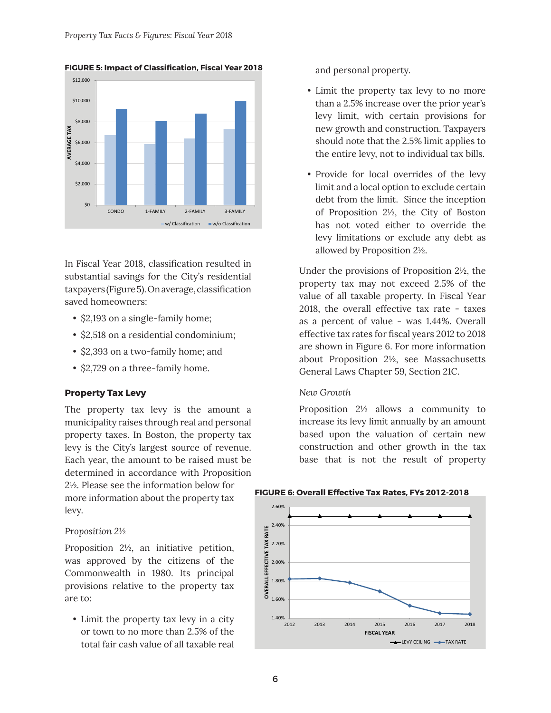

**FIGURE 5: Impact of Classification, Fiscal Year 2018** 

In Fiscal Year 2018, classification resulted in substantial savings for the City's residential taxpayers (Figure 5). On average, classification saved homeowners:

- \$2,193 on a single-family home;
- \$2,518 on a residential condominium;
- \$2,393 on a two-family home; and
- \$2,729 on a three-family home.

#### **Property Tax Levy**

The property tax levy is the amount a municipality raises through real and personal property taxes. In Boston, the property tax levy is the City's largest source of revenue. Each year, the amount to be raised must be determined in accordance with Proposition 2½. Please see the information below for more information about the property tax levy.

#### *Proposition 2½*

Proposition 2½, an initiative petition, was approved by the citizens of the Commonwealth in 1980. Its principal provisions relative to the property tax are to:

• Limit the property tax levy in a city or town to no more than 2.5% of the total fair cash value of all taxable real and personal property.

- Limit the property tax levy to no more than a 2.5% increase over the prior year's levy limit, with certain provisions for new growth and construction. Taxpayers should note that the 2.5% limit applies to the entire levy, not to individual tax bills.
- Provide for local overrides of the levy limit and a local option to exclude certain debt from the limit. Since the inception of Proposition 2½, the City of Boston has not voted either to override the levy limitations or exclude any debt as allowed by Proposition 2½.

Under the provisions of Proposition 2½, the property tax may not exceed 2.5% of the value of all taxable property. In Fiscal Year 2018, the overall effective tax rate - taxes as a percent of value - was 1.44%. Overall effective tax rates for fiscal years 2012 to 2018 are shown in Figure 6. For more information about Proposition 2½, see Massachusetts General Laws Chapter 59, Section 21C.

#### *New Growth*

Proposition 2½ allows a community to increase its levy limit annually by an amount based upon the valuation of certain new construction and other growth in the tax base that is not the result of property

#### **FIGURE 6: Overall Effective Tax Rates, FYs 2012-2018**

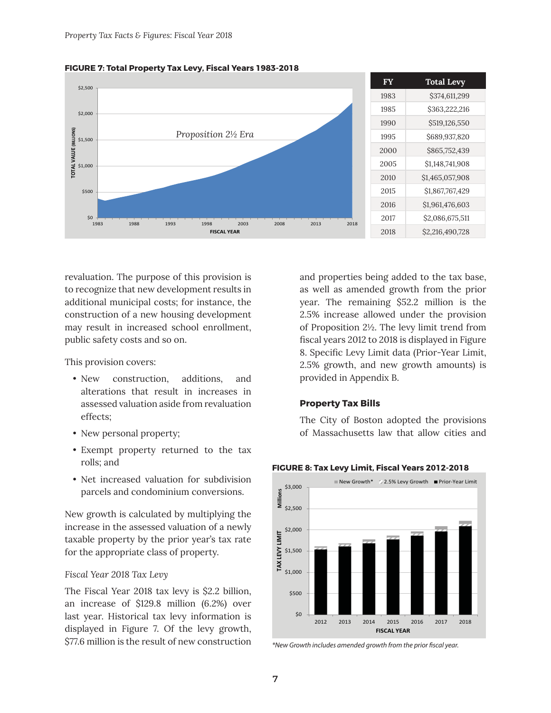

**FIGURE 7: Total Property Tax Levy, Fiscal Years 1983-2018**

revaluation. The purpose of this provision is to recognize that new development results in additional municipal costs; for instance, the construction of a new housing development may result in increased school enrollment, public safety costs and so on.

This provision covers:

- New construction, additions, and alterations that result in increases in assessed valuation aside from revaluation effects;
- New personal property;
- Exempt property returned to the tax rolls; and
- Net increased valuation for subdivision parcels and condominium conversions.

New growth is calculated by multiplying the increase in the assessed valuation of a newly taxable property by the prior year's tax rate for the appropriate class of property.

#### *Fiscal Year 2018 Tax Levy*

The Fiscal Year 2018 tax levy is \$2.2 billion, an increase of \$129.8 million (6.2%) over last year. Historical tax levy information is displayed in Figure 7. Of the levy growth, \$77.6 million is the result of new construction and properties being added to the tax base, as well as amended growth from the prior year. The remaining \$52.2 million is the 2.5% increase allowed under the provision of Proposition 2½. The levy limit trend from fiscal years 2012 to 2018 is displayed in Figure 8. Specific Levy Limit data (Prior-Year Limit, 2.5% growth, and new growth amounts) is provided in Appendix B.

#### **Property Tax Bills**

The City of Boston adopted the provisions of Massachusetts law that allow cities and



**FIGURE 8: Tax Levy Limit, Fiscal Years 2012-2018**

<sup>\*</sup>New Growth includes amended growth from the prior fiscal year.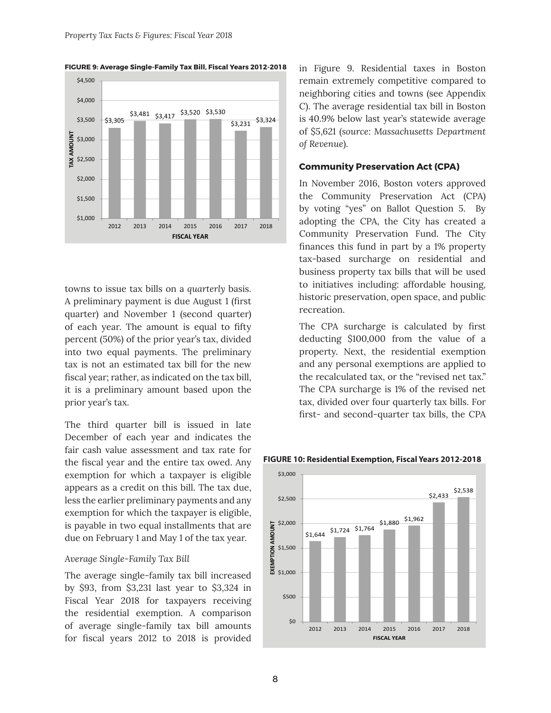

**FIGURE 9: Average Single-Family Tax Bill, Fiscal Years 2012-2018**

towns to issue tax bills on a *quarterly* basis. A preliminary payment is due August 1 (first quarter) and November 1 (second quarter) of each year. The amount is equal to fifty percent (50%) of the prior year's tax, divided into two equal payments. The preliminary tax is not an estimated tax bill for the new fiscal year; rather, as indicated on the tax bill, it is a preliminary amount based upon the prior year's tax.

The third quarter bill is issued in late December of each year and indicates the fair cash value assessment and tax rate for the fiscal year and the entire tax owed. Any exemption for which a taxpayer is eligible appears as a credit on this bill. The tax due, less the earlier preliminary payments and any exemption for which the taxpayer is eligible, is payable in two equal installments that are due on February 1 and May 1 of the tax year.

#### *Average Single-Family Tax Bill*

The average single-family tax bill increased by \$93, from \$3,231 last year to \$3,324 in Fiscal Year 2018 for taxpayers receiving the residential exemption. A comparison of average single-family tax bill amounts for fiscal years 2012 to 2018 is provided in Figure 9. Residential taxes in Boston remain extremely competitive compared to neighboring cities and towns (see Appendix C). The average residential tax bill in Boston is 40.9% below last year's statewide average of \$5,621 (*source: Massachusetts Department of Revenue*).

#### **Community Preservation Act (CPA)**

In November 2016, Boston voters approved the Community Preservation Act (CPA) by voting "yes" on Ballot Question 5. By adopting the CPA, the City has created a Community Preservation Fund. The City finances this fund in part by a 1% property tax-based surcharge on residential and business property tax bills that will be used to initiatives including: affordable housing, historic preservation, open space, and public recreation.

The CPA surcharge is calculated by first deducting \$100,000 from the value of a property. Next, the residential exemption and any personal exemptions are applied to the recalculated tax, or the "revised net tax." The CPA surcharge is 1% of the revised net tax, divided over four quarterly tax bills. For first- and second-quarter tax bills, the CPA



#### **FIGURE 10: Residential Exemption, Fiscal Years 2012-2018**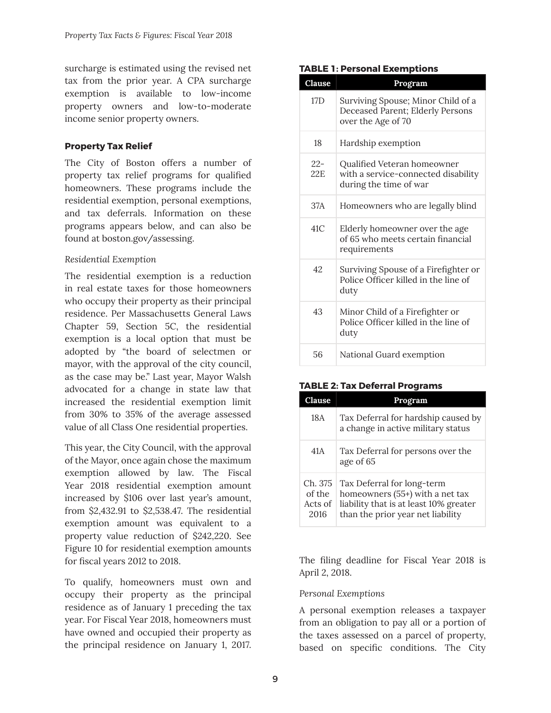surcharge is estimated using the revised net tax from the prior year. A CPA surcharge exemption is available to low-income property owners and low-to-moderate income senior property owners.

## **Property Tax Relief**

The City of Boston offers a number of property tax relief programs for qualified homeowners. These programs include the residential exemption, personal exemptions, and tax deferrals. Information on these programs appears below, and can also be found at boston.gov/assessing.

## *Residential Exemption*

The residential exemption is a reduction in real estate taxes for those homeowners who occupy their property as their principal residence. Per Massachusetts General Laws Chapter 59, Section 5C, the residential exemption is a local option that must be adopted by "the board of selectmen or mayor, with the approval of the city council, as the case may be." Last year, Mayor Walsh advocated for a change in state law that increased the residential exemption limit from 30% to 35% of the average assessed value of all Class One residential properties.

This year, the City Council, with the approval of the Mayor, once again chose the maximum exemption allowed by law. The Fiscal Year 2018 residential exemption amount increased by \$106 over last year's amount, from \$2,432.91 to \$2,538.47. The residential exemption amount was equivalent to a property value reduction of \$242,220. See Figure 10 for residential exemption amounts for fiscal years 2012 to 2018.

To qualify, homeowners must own and occupy their property as the principal residence as of January 1 preceding the tax year. For Fiscal Year 2018, homeowners must have owned and occupied their property as the principal residence on January 1, 2017.

#### **TABLE 1: Personal Exemptions**

| <b>Clause</b> | Program                                                                                      |
|---------------|----------------------------------------------------------------------------------------------|
| 17D           | Surviving Spouse; Minor Child of a<br>Deceased Parent; Elderly Persons<br>over the Age of 70 |
| 18            | Hardship exemption                                                                           |
| $22-$<br>22F. | Qualified Veteran homeowner<br>with a service-connected disability<br>during the time of war |
| 37A           | Homeowners who are legally blind                                                             |
| 41C           | Elderly homeowner over the age<br>of 65 who meets certain financial<br>requirements          |
| 42            | Surviving Spouse of a Firefighter or<br>Police Officer killed in the line of<br>duty         |
| 43            | Minor Child of a Firefighter or<br>Police Officer killed in the line of<br>duty              |
| 56            | National Guard exemption                                                                     |

## **TABLE 2: Tax Deferral Programs**

| <b>Clause</b>                        | Program                                                                                                                                      |
|--------------------------------------|----------------------------------------------------------------------------------------------------------------------------------------------|
| 18A                                  | Tax Deferral for hardship caused by<br>a change in active military status                                                                    |
| 41A                                  | Tax Deferral for persons over the<br>age of 65                                                                                               |
| Ch. 375<br>of the<br>Acts of<br>2016 | Tax Deferral for long-term<br>homeowners (55+) with a net tax<br>liability that is at least 10% greater<br>than the prior year net liability |

The filing deadline for Fiscal Year 2018 is April 2, 2018.

## *Personal Exemptions*

A personal exemption releases a taxpayer from an obligation to pay all or a portion of the taxes assessed on a parcel of property, based on specific conditions. The City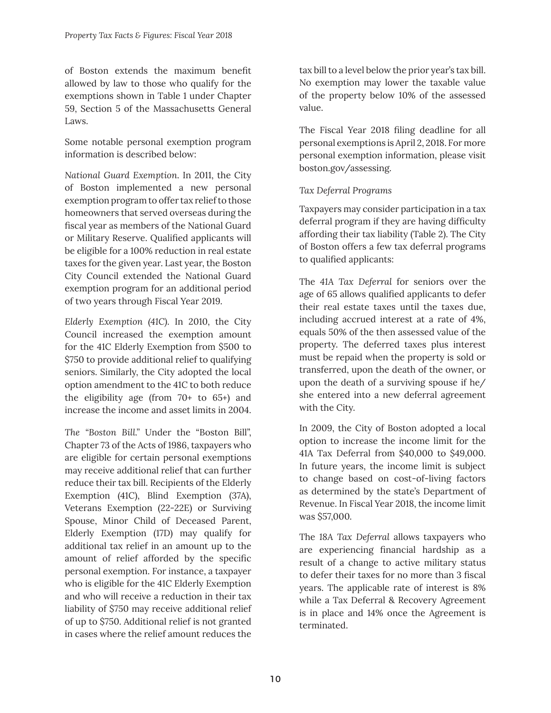of Boston extends the maximum benefit allowed by law to those who qualify for the exemptions shown in Table 1 under Chapter 59, Section 5 of the Massachusetts General Laws.

Some notable personal exemption program information is described below:

*National Guard Exemption*. In 2011, the City of Boston implemented a new personal exemption program to offer tax relief to those homeowners that served overseas during the fiscal year as members of the National Guard or Military Reserve. Qualified applicants will be eligible for a 100% reduction in real estate taxes for the given year. Last year, the Boston City Council extended the National Guard exemption program for an additional period of two years through Fiscal Year 2019.

*Elderly Exemption (41C)*. In 2010, the City Council increased the exemption amount for the 41C Elderly Exemption from \$500 to \$750 to provide additional relief to qualifying seniors. Similarly, the City adopted the local option amendment to the 41C to both reduce the eligibility age (from 70+ to 65+) and increase the income and asset limits in 2004.

*The "Boston Bill."* Under the "Boston Bill", Chapter 73 of the Acts of 1986, taxpayers who are eligible for certain personal exemptions may receive additional relief that can further reduce their tax bill. Recipients of the Elderly Exemption (41C), Blind Exemption (37A), Veterans Exemption (22-22E) or Surviving Spouse, Minor Child of Deceased Parent, Elderly Exemption (17D) may qualify for additional tax relief in an amount up to the amount of relief afforded by the specific personal exemption. For instance, a taxpayer who is eligible for the 41C Elderly Exemption and who will receive a reduction in their tax liability of \$750 may receive additional relief of up to \$750. Additional relief is not granted in cases where the relief amount reduces the

tax bill to a level below the prior year's tax bill. No exemption may lower the taxable value of the property below 10% of the assessed value.

The Fiscal Year 2018 filing deadline for all personal exemptions is April 2, 2018. For more personal exemption information, please visit boston.gov/assessing.

## *Tax Deferral Programs*

Taxpayers may consider participation in a tax deferral program if they are having difficulty affording their tax liability (Table 2). The City of Boston offers a few tax deferral programs to qualified applicants:

The *41A Tax Deferral* for seniors over the age of 65 allows qualified applicants to defer their real estate taxes until the taxes due, including accrued interest at a rate of 4%, equals 50% of the then assessed value of the property. The deferred taxes plus interest must be repaid when the property is sold or transferred, upon the death of the owner, or upon the death of a surviving spouse if he/ she entered into a new deferral agreement with the City.

In 2009, the City of Boston adopted a local option to increase the income limit for the 41A Tax Deferral from \$40,000 to \$49,000. In future years, the income limit is subject to change based on cost-of-living factors as determined by the state's Department of Revenue. In Fiscal Year 2018, the income limit was \$57,000.

The *18A Tax Deferral* allows taxpayers who are experiencing financial hardship as a result of a change to active military status to defer their taxes for no more than 3 fiscal years. The applicable rate of interest is 8% while a Tax Deferral & Recovery Agreement is in place and 14% once the Agreement is terminated.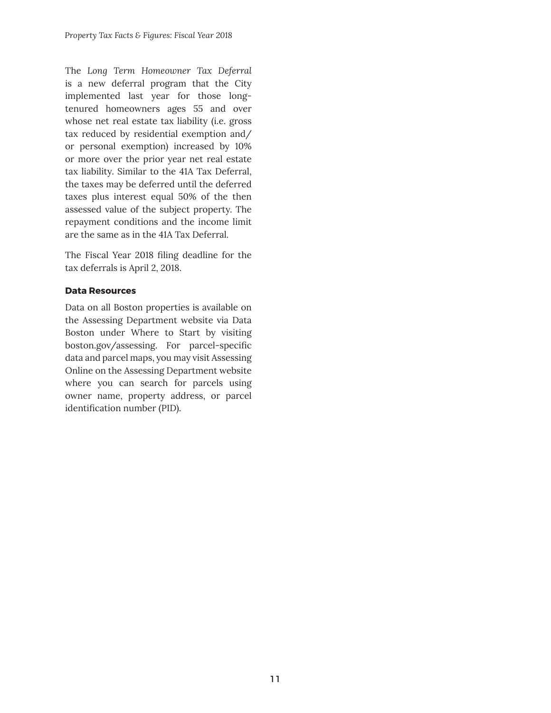The *Long Term Homeowner Tax Deferral* is a new deferral program that the City implemented last year for those longtenured homeowners ages 55 and over whose net real estate tax liability (i.e. gross tax reduced by residential exemption and/ or personal exemption) increased by 10% or more over the prior year net real estate tax liability. Similar to the 41A Tax Deferral, the taxes may be deferred until the deferred taxes plus interest equal 50% of the then assessed value of the subject property. The repayment conditions and the income limit are the same as in the 41A Tax Deferral.

The Fiscal Year 2018 filing deadline for the tax deferrals is April 2, 2018.

## **Data Resources**

Data on all Boston properties is available on the Assessing Department website via Data Boston under Where to Start by visiting boston.gov/assessing. For parcel-specific data and parcel maps, you may visit Assessing Online on the Assessing Department website where you can search for parcels using owner name, property address, or parcel identification number (PID).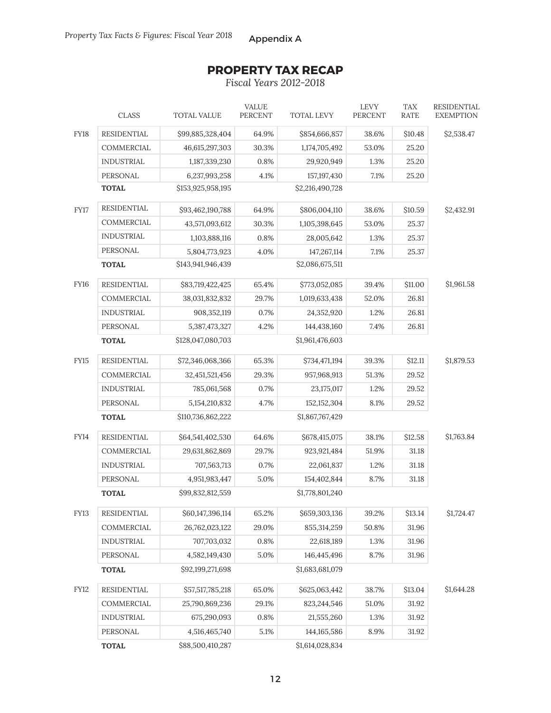# **PROPERTY TAX RECAP**

*Fiscal Years 2012-2018*

|             | <b>CLASS</b>                                         | <b>TOTAL VALUE</b> | <b>VALUE</b><br><b>PERCENT</b> | <b>TOTAL LEVY</b> | <b>LEVY</b><br>PERCENT | <b>TAX</b><br>RATE | <b>RESIDENTIAL</b><br><b>EXEMPTION</b> |
|-------------|------------------------------------------------------|--------------------|--------------------------------|-------------------|------------------------|--------------------|----------------------------------------|
| <b>FY18</b> | <b>RESIDENTIAL</b>                                   | \$99,885,328,404   | 64.9%                          | \$854,666,857     | 38.6%                  | \$10.48            | \$2,538.47                             |
|             | COMMERCIAL                                           | 46,615,297,303     | 30.3%                          | 1,174,705,492     | 53.0%                  | 25.20              |                                        |
|             | <b>INDUSTRIAL</b>                                    | 1,187,339,230      | 0.8%                           | 29,920,949        | 1.3%                   | 25.20              |                                        |
|             | PERSONAL                                             | 6,237,993,258      | 4.1%                           | 157,197,430       | 7.1%                   | 25.20              |                                        |
|             | <b>TOTAL</b>                                         | \$153,925,958,195  |                                | \$2,216,490,728   |                        |                    |                                        |
| <b>FY17</b> | <b>RESIDENTIAL</b>                                   | \$93,462,190,788   | 64.9%                          | \$806,004,110     | 38.6%                  | \$10.59            | \$2,432.91                             |
|             | COMMERCIAL                                           | 43,571,093,612     | 30.3%                          | 1,105,398,645     | 53.0%                  | 25.37              |                                        |
|             | <b>INDUSTRIAL</b>                                    | 1,103,888,116      | 0.8%                           | 28,005,642        | 1.3%                   | 25.37              |                                        |
|             | PERSONAL                                             | 5,804,773,923      | 4.0%                           | 147,267,114       | 7.1%                   | 25.37              |                                        |
|             | <b>TOTAL</b>                                         |                    |                                |                   |                        |                    |                                        |
| FY16        | <b>RESIDENTIAL</b>                                   | \$83,719,422,425   | 65.4%                          | \$773,052,085     | 39.4%                  | \$11.00            | \$1,961.58                             |
|             | COMMERCIAL                                           | 38,031,832,832     | 29.7%                          | 1,019,633,438     | 52.0%                  | 26.81              |                                        |
|             | <b>INDUSTRIAL</b>                                    | 908,352,119        | 0.7%                           | 24,352,920        | 1.2%                   | 26.81              |                                        |
|             | PERSONAL                                             | 5,387,473,327      | 4.2%                           | 144,438,160       | 7.4%                   | 26.81              |                                        |
|             | <b>TOTAL</b>                                         | \$128,047,080,703  |                                | \$1,961,476,603   |                        |                    |                                        |
| <b>FY15</b> | <b>RESIDENTIAL</b>                                   | \$72,346,068,366   | 65.3%                          | \$734,471,194     | 39.3%                  | \$12.11            | \$1,879.53                             |
|             | COMMERCIAL                                           | 32,451,521,456     | 29.3%                          | 957,968,913       | 51.3%                  | 29.52              |                                        |
|             | <b>INDUSTRIAL</b>                                    | 785,061,568        | 0.7%                           | 23,175,017        | 1.2%                   | 29.52              |                                        |
|             | PERSONAL                                             | 5, 154, 210, 832   | 4.7%                           | 152, 152, 304     | 8.1%                   | 29.52              |                                        |
|             | \$110,736,862,222<br>\$1,867,767,429<br><b>TOTAL</b> |                    |                                |                   |                        |                    |                                        |
| <b>FY14</b> | <b>RESIDENTIAL</b>                                   | \$64,541,402,530   | 64.6%                          | \$678,415,075     | 38.1%                  | \$12.58            | \$1,763.84                             |
|             | COMMERCIAL                                           | 29,631,862,869     | 29.7%                          | 923,921,484       | 51.9%                  | 31.18              |                                        |
|             | <b>INDUSTRIAL</b>                                    | 707,563,713        | 0.7%                           | 22,061,837        | 1.2%                   | 31.18              |                                        |
|             | PERSONAL                                             | 4,951,983,447      | 5.0%                           | 154,402,844       | 8.7%                   | 31.18              |                                        |
|             | <b>TOTAL</b>                                         | \$99,832,812,559   |                                | \$1,778,801,240   |                        |                    |                                        |
| FY13        | <b>RESIDENTIAL</b>                                   | \$60,147,396,114   | 65.2%                          | \$659,303,136     | 39.2%                  | \$13.14            | \$1,724.47                             |
|             | COMMERCIAL                                           | 26,762,023,122     | 29.0%                          | 855,314,259       | 50.8%                  | 31.96              |                                        |
|             | <b>INDUSTRIAL</b>                                    | 707,703,032        | 0.8%                           | 22,618,189        | 1.3%                   | 31.96              |                                        |
|             | PERSONAL                                             | 4,582,149,430      | $5.0\%$                        | 146,445,496       | 8.7%                   | 31.96              |                                        |
|             | <b>TOTAL</b>                                         | \$92,199,271,698   |                                | \$1,683,681,079   |                        |                    |                                        |
| <b>FY12</b> | RESIDENTIAL                                          | \$57,517,785,218   | 65.0%                          | \$625,063,442     | 38.7%                  | \$13.04            | \$1,644.28                             |
|             | COMMERCIAL                                           | 25,790,869,236     | 29.1%                          | 823,244,546       | 51.0%                  | 31.92              |                                        |
|             | <b>INDUSTRIAL</b>                                    | 675,290,093        | 0.8%                           | 21,555,260        | 1.3%                   | 31.92              |                                        |
|             | PERSONAL                                             | 4,516,465,740      | $5.1\%$                        | 144, 165, 586     | 8.9%                   | 31.92              |                                        |
|             | <b>TOTAL</b>                                         | \$88,500,410,287   |                                | \$1,614,028,834   |                        |                    |                                        |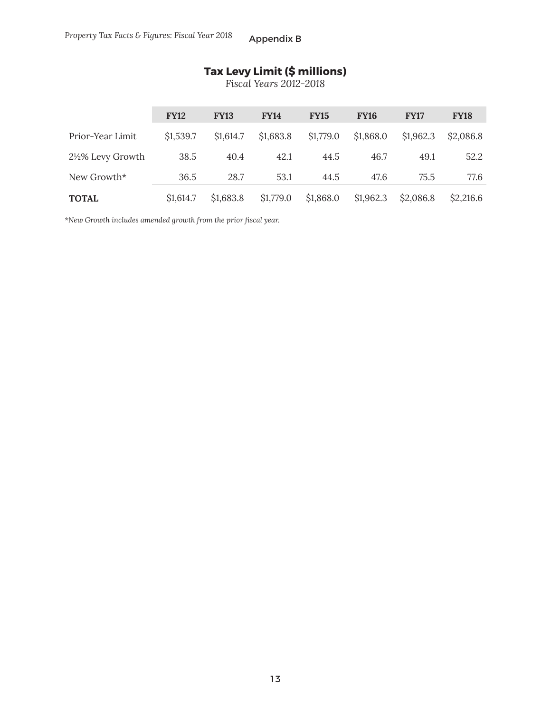# **Tax Levy Limit (\$ millions)**

*Fiscal Years 2012-2018*

|                              | <b>FY12</b>           | <b>FY13</b> | <b>FY14</b> | <b>FY15</b> | <b>FY16</b> | <b>FY17</b> | <b>FY18</b> |
|------------------------------|-----------------------|-------------|-------------|-------------|-------------|-------------|-------------|
| Prior-Year Limit             | \$1,539.7             | \$1,614.7   | \$1,683.8   | \$1,779.0   | \$1,868.0   | \$1,962.3   | \$2,086.8   |
| $2\frac{1}{2}\%$ Levy Growth | 38.5                  | 40.4        | 42.1        | 44.5        | 46.7        | 49.1        | 52.2        |
| New Growth*                  | 36.5                  | 28.7        | 53.1        | 44.5        | 47.6        | 75.5        | 77.6        |
| <b>TOTAL</b>                 | S <sub>1</sub> ,614.7 | \$1,683.8   | \$1,779.0   | \$1,868.0   | \$1,962.3   | \$2,086.8   | \$2,216.6   |

*\*New Growth includes amended growth from the prior fi scal year.*